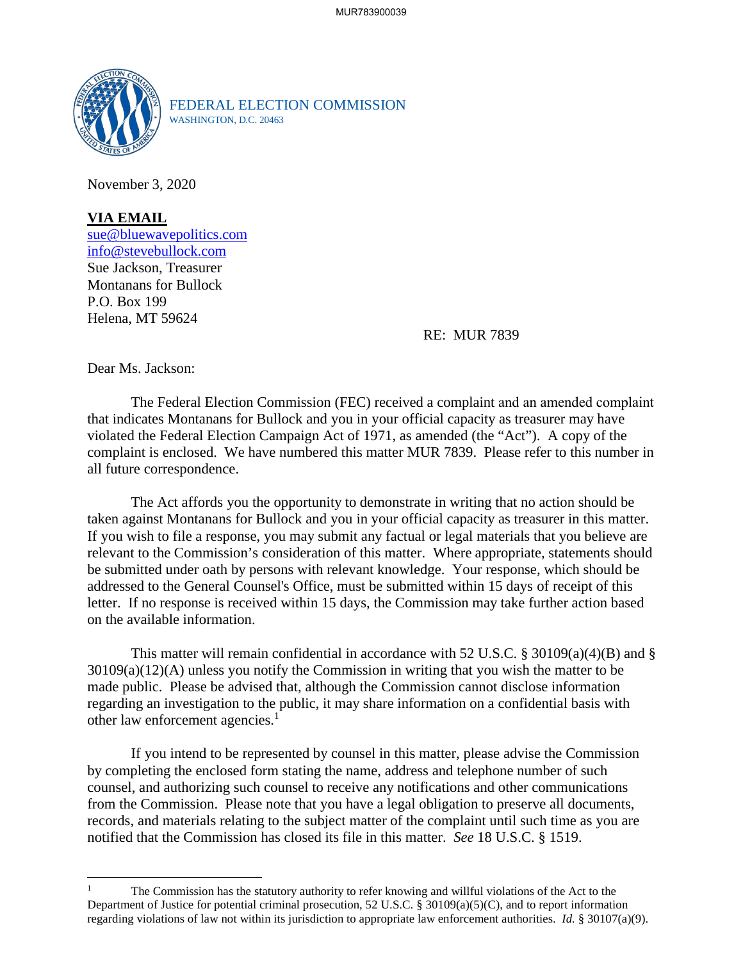

FEDERAL ELECTION COMMISSION WASHINGTON, D.C. 20463

November 3, 2020

## **VIA EMAIL**

[sue@bluewavepolitics.com](mailto:sue@bluewavepolitics.com) [info@stevebullock.com](mailto:info@stevebullock.com) Sue Jackson, Treasurer Montanans for Bullock P.O. Box 199 Helena, MT 59624

## RE: MUR 7839

Dear Ms. Jackson:

The Federal Election Commission (FEC) received a complaint and an amended complaint that indicates Montanans for Bullock and you in your official capacity as treasurer may have violated the Federal Election Campaign Act of 1971, as amended (the "Act"). A copy of the complaint is enclosed. We have numbered this matter MUR 7839. Please refer to this number in all future correspondence.

The Act affords you the opportunity to demonstrate in writing that no action should be taken against Montanans for Bullock and you in your official capacity as treasurer in this matter. If you wish to file a response, you may submit any factual or legal materials that you believe are relevant to the Commission's consideration of this matter. Where appropriate, statements should be submitted under oath by persons with relevant knowledge. Your response, which should be addressed to the General Counsel's Office, must be submitted within 15 days of receipt of this letter. If no response is received within 15 days, the Commission may take further action based on the available information.

This matter will remain confidential in accordance with 52 U.S.C. § 30109(a)(4)(B) and § 30109(a)(12)(A) unless you notify the Commission in writing that you wish the matter to be made public. Please be advised that, although the Commission cannot disclose information regarding an investigation to the [p](#page-0-0)ublic, it may share information on a confidential basis with other law enforcement agencies.<sup>1</sup>

If you intend to be represented by counsel in this matter, please advise the Commission by completing the enclosed form stating the name, address and telephone number of such counsel, and authorizing such counsel to receive any notifications and other communications from the Commission. Please note that you have a legal obligation to preserve all documents, records, and materials relating to the subject matter of the complaint until such time as you are notified that the Commission has closed its file in this matter. *See* 18 U.S.C. § 1519.

<span id="page-0-0"></span><sup>1</sup> The Commission has the statutory authority to refer knowing and willful violations of the Act to the Department of Justice for potential criminal prosecution, 52 U.S.C. § 30109(a)(5)(C), and to report information regarding violations of law not within its jurisdiction to appropriate law enforcement authorities. *Id.* § 30107(a)(9).